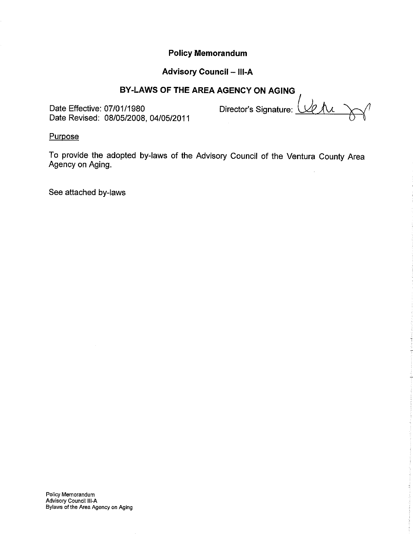#### **Policy Memorandum**

### **Advisory Council - III-A**

# BY-LAWS OF THE AREA AGENCY ON AGING

Date Effective: 07/01/1980 Date Revised: 08/05/2008, 04/05/2011

Le pe Director's Signature:

Purpose

To provide the adopted by-laws of the Advisory Council of the Ventura County Area Agency on Aging.

See attached by-laws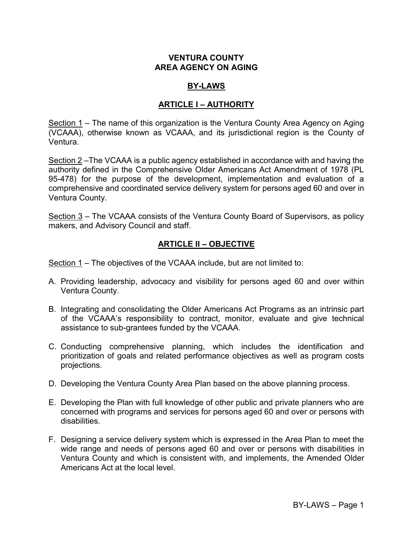#### **VENTURA COUNTY AREA AGENCY ON AGING**

#### **BY-LAWS**

### **ARTICLE I – AUTHORITY**

Section 1 – The name of this organization is the Ventura County Area Agency on Aging (VCAAA), otherwise known as VCAAA, and its jurisdictional region is the County of Ventura.

Section 2 –The VCAAA is a public agency established in accordance with and having the authority defined in the Comprehensive Older Americans Act Amendment of 1978 (PL 95-478) for the purpose of the development, implementation and evaluation of a comprehensive and coordinated service delivery system for persons aged 60 and over in Ventura County.

Section 3 – The VCAAA consists of the Ventura County Board of Supervisors, as policy makers, and Advisory Council and staff.

## **ARTICLE II – OBJECTIVE**

Section 1 – The objectives of the VCAAA include, but are not limited to:

- A. Providing leadership, advocacy and visibility for persons aged 60 and over within Ventura County.
- B. Integrating and consolidating the Older Americans Act Programs as an intrinsic part of the VCAAA's responsibility to contract, monitor, evaluate and give technical assistance to sub-grantees funded by the VCAAA.
- C. Conducting comprehensive planning, which includes the identification and prioritization of goals and related performance objectives as well as program costs projections.
- D. Developing the Ventura County Area Plan based on the above planning process.
- E. Developing the Plan with full knowledge of other public and private planners who are concerned with programs and services for persons aged 60 and over or persons with disabilities.
- F. Designing a service delivery system which is expressed in the Area Plan to meet the wide range and needs of persons aged 60 and over or persons with disabilities in Ventura County and which is consistent with, and implements, the Amended Older Americans Act at the local level.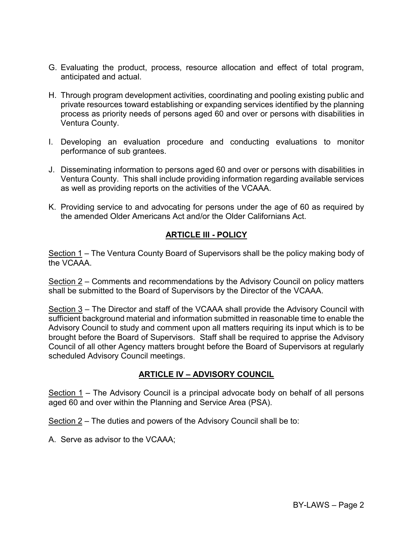- G. Evaluating the product, process, resource allocation and effect of total program, anticipated and actual.
- H. Through program development activities, coordinating and pooling existing public and private resources toward establishing or expanding services identified by the planning process as priority needs of persons aged 60 and over or persons with disabilities in Ventura County.
- I. Developing an evaluation procedure and conducting evaluations to monitor performance of sub grantees.
- J. Disseminating information to persons aged 60 and over or persons with disabilities in Ventura County. This shall include providing information regarding available services as well as providing reports on the activities of the VCAAA.
- K. Providing service to and advocating for persons under the age of 60 as required by the amended Older Americans Act and/or the Older Californians Act.

#### **ARTICLE III - POLICY**

Section 1 – The Ventura County Board of Supervisors shall be the policy making body of the VCAAA.

Section 2 – Comments and recommendations by the Advisory Council on policy matters shall be submitted to the Board of Supervisors by the Director of the VCAAA.

Section 3 – The Director and staff of the VCAAA shall provide the Advisory Council with sufficient background material and information submitted in reasonable time to enable the Advisory Council to study and comment upon all matters requiring its input which is to be brought before the Board of Supervisors. Staff shall be required to apprise the Advisory Council of all other Agency matters brought before the Board of Supervisors at regularly scheduled Advisory Council meetings.

## **ARTICLE IV – ADVISORY COUNCIL**

Section 1 – The Advisory Council is a principal advocate body on behalf of all persons aged 60 and over within the Planning and Service Area (PSA).

Section 2 – The duties and powers of the Advisory Council shall be to:

A. Serve as advisor to the VCAAA;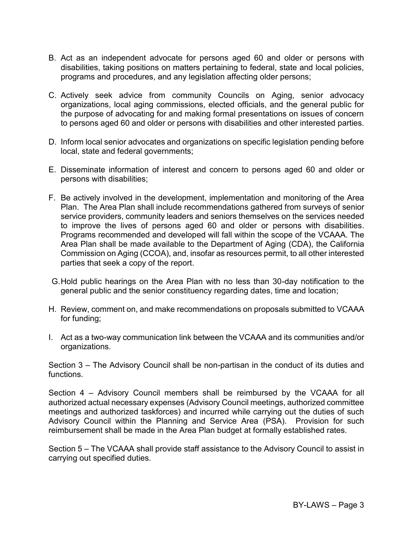- B. Act as an independent advocate for persons aged 60 and older or persons with disabilities, taking positions on matters pertaining to federal, state and local policies, programs and procedures, and any legislation affecting older persons;
- C. Actively seek advice from community Councils on Aging, senior advocacy organizations, local aging commissions, elected officials, and the general public for the purpose of advocating for and making formal presentations on issues of concern to persons aged 60 and older or persons with disabilities and other interested parties.
- D. Inform local senior advocates and organizations on specific legislation pending before local, state and federal governments;
- E. Disseminate information of interest and concern to persons aged 60 and older or persons with disabilities;
- F. Be actively involved in the development, implementation and monitoring of the Area Plan. The Area Plan shall include recommendations gathered from surveys of senior service providers, community leaders and seniors themselves on the services needed to improve the lives of persons aged 60 and older or persons with disabilities. Programs recommended and developed will fall within the scope of the VCAAA. The Area Plan shall be made available to the Department of Aging (CDA), the California Commission on Aging (CCOA), and, insofar as resources permit, to all other interested parties that seek a copy of the report.
- G.Hold public hearings on the Area Plan with no less than 30-day notification to the general public and the senior constituency regarding dates, time and location;
- H. Review, comment on, and make recommendations on proposals submitted to VCAAA for funding;
- I. Act as a two-way communication link between the VCAAA and its communities and/or organizations.

Section 3 – The Advisory Council shall be non-partisan in the conduct of its duties and functions.

Section 4 – Advisory Council members shall be reimbursed by the VCAAA for all authorized actual necessary expenses (Advisory Council meetings, authorized committee meetings and authorized taskforces) and incurred while carrying out the duties of such Advisory Council within the Planning and Service Area (PSA). Provision for such reimbursement shall be made in the Area Plan budget at formally established rates.

Section 5 – The VCAAA shall provide staff assistance to the Advisory Council to assist in carrying out specified duties.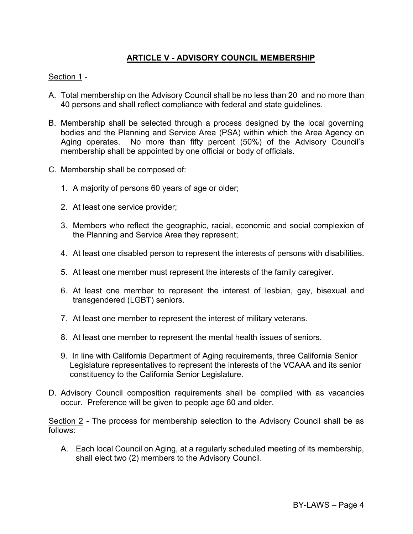## **ARTICLE V - ADVISORY COUNCIL MEMBERSHIP**

#### Section 1 -

- A. Total membership on the Advisory Council shall be no less than 20 and no more than 40 persons and shall reflect compliance with federal and state guidelines.
- B. Membership shall be selected through a process designed by the local governing bodies and the Planning and Service Area (PSA) within which the Area Agency on Aging operates. No more than fifty percent (50%) of the Advisory Council's membership shall be appointed by one official or body of officials.
- C. Membership shall be composed of:
	- 1. A majority of persons 60 years of age or older;
	- 2. At least one service provider;
	- 3. Members who reflect the geographic, racial, economic and social complexion of the Planning and Service Area they represent;
	- 4. At least one disabled person to represent the interests of persons with disabilities.
	- 5. At least one member must represent the interests of the family caregiver.
	- 6. At least one member to represent the interest of lesbian, gay, bisexual and transgendered (LGBT) seniors.
	- 7. At least one member to represent the interest of military veterans.
	- 8. At least one member to represent the mental health issues of seniors.
	- 9. In line with California Department of Aging requirements, three California Senior Legislature representatives to represent the interests of the VCAAA and its senior constituency to the California Senior Legislature.
- D. Advisory Council composition requirements shall be complied with as vacancies occur. Preference will be given to people age 60 and older.

Section 2 - The process for membership selection to the Advisory Council shall be as follows:

A. Each local Council on Aging, at a regularly scheduled meeting of its membership, shall elect two (2) members to the Advisory Council.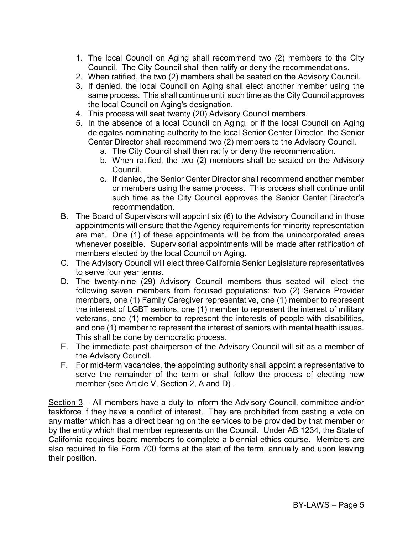- 1. The local Council on Aging shall recommend two (2) members to the City Council. The City Council shall then ratify or deny the recommendations.
- 2. When ratified, the two (2) members shall be seated on the Advisory Council.
- 3. If denied, the local Council on Aging shall elect another member using the same process. This shall continue until such time as the City Council approves the local Council on Aging's designation.
- 4. This process will seat twenty (20) Advisory Council members.
- 5. In the absence of a local Council on Aging, or if the local Council on Aging delegates nominating authority to the local Senior Center Director, the Senior Center Director shall recommend two (2) members to the Advisory Council.
	- a. The City Council shall then ratify or deny the recommendation.
	- b. When ratified, the two (2) members shall be seated on the Advisory Council.
	- c. If denied, the Senior Center Director shall recommend another member or members using the same process. This process shall continue until such time as the City Council approves the Senior Center Director's recommendation.
- B. The Board of Supervisors will appoint six (6) to the Advisory Council and in those appointments will ensure that the Agency requirements for minority representation are met. One (1) of these appointments will be from the unincorporated areas whenever possible. Supervisorial appointments will be made after ratification of members elected by the local Council on Aging.
- C. The Advisory Council will elect three California Senior Legislature representatives to serve four year terms.
- D. The twenty-nine (29) Advisory Council members thus seated will elect the following seven members from focused populations: two (2) Service Provider members, one (1) Family Caregiver representative, one (1) member to represent the interest of LGBT seniors, one (1) member to represent the interest of military veterans, one (1) member to represent the interests of people with disabilities, and one (1) member to represent the interest of seniors with mental health issues. This shall be done by democratic process.
- E. The immediate past chairperson of the Advisory Council will sit as a member of the Advisory Council.
- F. For mid-term vacancies, the appointing authority shall appoint a representative to serve the remainder of the term or shall follow the process of electing new member (see Article V, Section 2, A and D) .

Section 3 – All members have a duty to inform the Advisory Council, committee and/or taskforce if they have a conflict of interest. They are prohibited from casting a vote on any matter which has a direct bearing on the services to be provided by that member or by the entity which that member represents on the Council. Under AB 1234, the State of California requires board members to complete a biennial ethics course. Members are also required to file Form 700 forms at the start of the term, annually and upon leaving their position.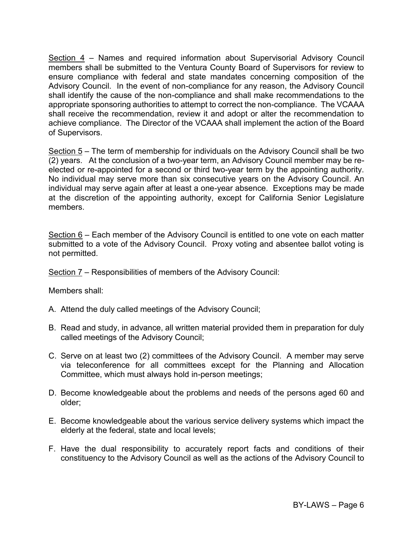Section 4 – Names and required information about Supervisorial Advisory Council members shall be submitted to the Ventura County Board of Supervisors for review to ensure compliance with federal and state mandates concerning composition of the Advisory Council. In the event of non-compliance for any reason, the Advisory Council shall identify the cause of the non-compliance and shall make recommendations to the appropriate sponsoring authorities to attempt to correct the non-compliance. The VCAAA shall receive the recommendation, review it and adopt or alter the recommendation to achieve compliance. The Director of the VCAAA shall implement the action of the Board of Supervisors.

Section 5 – The term of membership for individuals on the Advisory Council shall be two (2) years. At the conclusion of a two-year term, an Advisory Council member may be reelected or re-appointed for a second or third two-year term by the appointing authority. No individual may serve more than six consecutive years on the Advisory Council. An individual may serve again after at least a one-year absence. Exceptions may be made at the discretion of the appointing authority, except for California Senior Legislature members.

Section  $6$  – Each member of the Advisory Council is entitled to one vote on each matter submitted to a vote of the Advisory Council. Proxy voting and absentee ballot voting is not permitted.

Section 7 – Responsibilities of members of the Advisory Council:

Members shall:

- A. Attend the duly called meetings of the Advisory Council;
- B. Read and study, in advance, all written material provided them in preparation for duly called meetings of the Advisory Council;
- C. Serve on at least two (2) committees of the Advisory Council. A member may serve via teleconference for all committees except for the Planning and Allocation Committee, which must always hold in-person meetings;
- D. Become knowledgeable about the problems and needs of the persons aged 60 and older;
- E. Become knowledgeable about the various service delivery systems which impact the elderly at the federal, state and local levels;
- F. Have the dual responsibility to accurately report facts and conditions of their constituency to the Advisory Council as well as the actions of the Advisory Council to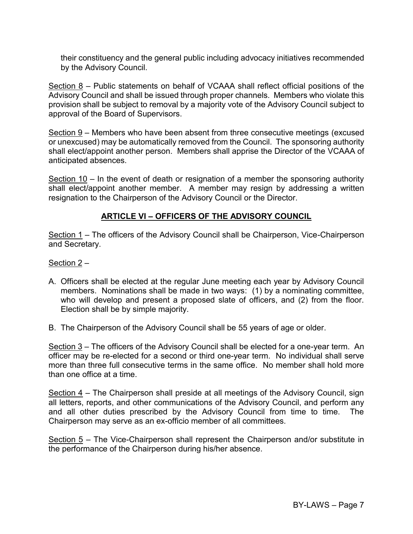their constituency and the general public including advocacy initiatives recommended by the Advisory Council.

Section 8 – Public statements on behalf of VCAAA shall reflect official positions of the Advisory Council and shall be issued through proper channels. Members who violate this provision shall be subject to removal by a majority vote of the Advisory Council subject to approval of the Board of Supervisors.

Section 9 – Members who have been absent from three consecutive meetings (excused or unexcused) may be automatically removed from the Council. The sponsoring authority shall elect/appoint another person. Members shall apprise the Director of the VCAAA of anticipated absences.

Section 10 – In the event of death or resignation of a member the sponsoring authority shall elect/appoint another member. A member may resign by addressing a written resignation to the Chairperson of the Advisory Council or the Director.

## **ARTICLE VI – OFFICERS OF THE ADVISORY COUNCIL**

Section 1 – The officers of the Advisory Council shall be Chairperson, Vice-Chairperson and Secretary.

#### Section 2 –

- A. Officers shall be elected at the regular June meeting each year by Advisory Council members. Nominations shall be made in two ways: (1) by a nominating committee, who will develop and present a proposed slate of officers, and (2) from the floor. Election shall be by simple majority.
- B. The Chairperson of the Advisory Council shall be 55 years of age or older.

Section 3 – The officers of the Advisory Council shall be elected for a one-year term. An officer may be re-elected for a second or third one-year term. No individual shall serve more than three full consecutive terms in the same office. No member shall hold more than one office at a time.

Section 4 – The Chairperson shall preside at all meetings of the Advisory Council, sign all letters, reports, and other communications of the Advisory Council, and perform any and all other duties prescribed by the Advisory Council from time to time. The Chairperson may serve as an ex-officio member of all committees.

Section 5 – The Vice-Chairperson shall represent the Chairperson and/or substitute in the performance of the Chairperson during his/her absence.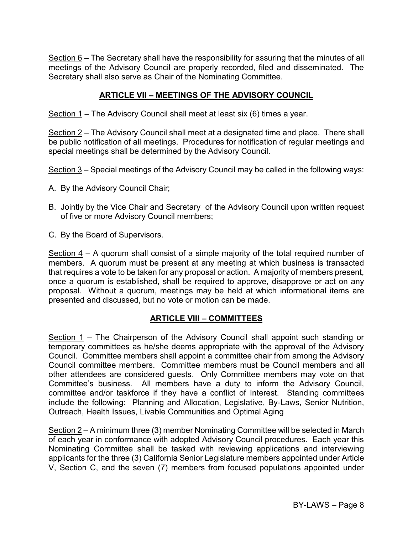Section 6 – The Secretary shall have the responsibility for assuring that the minutes of all meetings of the Advisory Council are properly recorded, filed and disseminated. The Secretary shall also serve as Chair of the Nominating Committee.

## **ARTICLE VII – MEETINGS OF THE ADVISORY COUNCIL**

Section 1 – The Advisory Council shall meet at least six (6) times a year.

Section 2 – The Advisory Council shall meet at a designated time and place. There shall be public notification of all meetings. Procedures for notification of regular meetings and special meetings shall be determined by the Advisory Council.

Section 3 – Special meetings of the Advisory Council may be called in the following ways:

- A. By the Advisory Council Chair;
- B. Jointly by the Vice Chair and Secretary of the Advisory Council upon written request of five or more Advisory Council members;
- C. By the Board of Supervisors.

Section 4 – A quorum shall consist of a simple majority of the total required number of members. A quorum must be present at any meeting at which business is transacted that requires a vote to be taken for any proposal or action. A majority of members present, once a quorum is established, shall be required to approve, disapprove or act on any proposal. Without a quorum, meetings may be held at which informational items are presented and discussed, but no vote or motion can be made.

#### **ARTICLE VIII – COMMITTEES**

Section 1 – The Chairperson of the Advisory Council shall appoint such standing or temporary committees as he/she deems appropriate with the approval of the Advisory Council. Committee members shall appoint a committee chair from among the Advisory Council committee members. Committee members must be Council members and all other attendees are considered guests. Only Committee members may vote on that Committee's business. All members have a duty to inform the Advisory Council, committee and/or taskforce if they have a conflict of Interest. Standing committees include the following: Planning and Allocation, Legislative, By-Laws, Senior Nutrition, Outreach, Health Issues, Livable Communities and Optimal Aging

Section 2 – A minimum three (3) member Nominating Committee will be selected in March of each year in conformance with adopted Advisory Council procedures. Each year this Nominating Committee shall be tasked with reviewing applications and interviewing applicants for the three (3) California Senior Legislature members appointed under Article V, Section C, and the seven (7) members from focused populations appointed under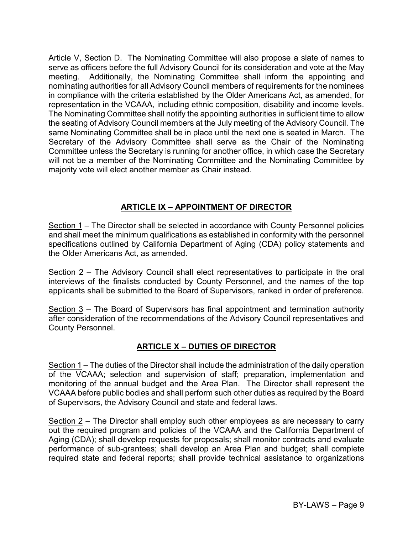Article V, Section D. The Nominating Committee will also propose a slate of names to serve as officers before the full Advisory Council for its consideration and vote at the May meeting. Additionally, the Nominating Committee shall inform the appointing and nominating authorities for all Advisory Council members of requirements for the nominees in compliance with the criteria established by the Older Americans Act, as amended, for representation in the VCAAA, including ethnic composition, disability and income levels. The Nominating Committee shall notify the appointing authorities in sufficient time to allow the seating of Advisory Council members at the July meeting of the Advisory Council. The same Nominating Committee shall be in place until the next one is seated in March. The Secretary of the Advisory Committee shall serve as the Chair of the Nominating Committee unless the Secretary is running for another office, in which case the Secretary will not be a member of the Nominating Committee and the Nominating Committee by majority vote will elect another member as Chair instead.

## **ARTICLE IX – APPOINTMENT OF DIRECTOR**

Section 1 – The Director shall be selected in accordance with County Personnel policies and shall meet the minimum qualifications as established in conformity with the personnel specifications outlined by California Department of Aging (CDA) policy statements and the Older Americans Act, as amended.

Section 2 – The Advisory Council shall elect representatives to participate in the oral interviews of the finalists conducted by County Personnel, and the names of the top applicants shall be submitted to the Board of Supervisors, ranked in order of preference.

Section  $3$  – The Board of Supervisors has final appointment and termination authority after consideration of the recommendations of the Advisory Council representatives and County Personnel.

## **ARTICLE X – DUTIES OF DIRECTOR**

Section 1 – The duties of the Director shall include the administration of the daily operation of the VCAAA; selection and supervision of staff; preparation, implementation and monitoring of the annual budget and the Area Plan. The Director shall represent the VCAAA before public bodies and shall perform such other duties as required by the Board of Supervisors, the Advisory Council and state and federal laws.

Section 2 – The Director shall employ such other employees as are necessary to carry out the required program and policies of the VCAAA and the California Department of Aging (CDA); shall develop requests for proposals; shall monitor contracts and evaluate performance of sub-grantees; shall develop an Area Plan and budget; shall complete required state and federal reports; shall provide technical assistance to organizations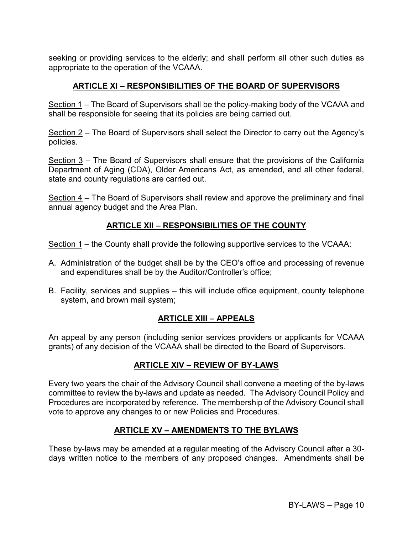seeking or providing services to the elderly; and shall perform all other such duties as appropriate to the operation of the VCAAA.

## **ARTICLE XI – RESPONSIBILITIES OF THE BOARD OF SUPERVISORS**

Section 1 – The Board of Supervisors shall be the policy-making body of the VCAAA and shall be responsible for seeing that its policies are being carried out.

Section 2 – The Board of Supervisors shall select the Director to carry out the Agency's policies.

Section 3 – The Board of Supervisors shall ensure that the provisions of the California Department of Aging (CDA), Older Americans Act, as amended, and all other federal, state and county regulations are carried out.

Section 4 – The Board of Supervisors shall review and approve the preliminary and final annual agency budget and the Area Plan.

# **ARTICLE XII – RESPONSIBILITIES OF THE COUNTY**

Section 1 – the County shall provide the following supportive services to the VCAAA:

- A. Administration of the budget shall be by the CEO's office and processing of revenue and expenditures shall be by the Auditor/Controller's office;
- B. Facility, services and supplies this will include office equipment, county telephone system, and brown mail system;

## **ARTICLE XIII – APPEALS**

An appeal by any person (including senior services providers or applicants for VCAAA grants) of any decision of the VCAAA shall be directed to the Board of Supervisors.

## **ARTICLE XIV – REVIEW OF BY-LAWS**

Every two years the chair of the Advisory Council shall convene a meeting of the by-laws committee to review the by-laws and update as needed. The Advisory Council Policy and Procedures are incorporated by reference. The membership of the Advisory Council shall vote to approve any changes to or new Policies and Procedures.

## **ARTICLE XV – AMENDMENTS TO THE BYLAWS**

These by-laws may be amended at a regular meeting of the Advisory Council after a 30 days written notice to the members of any proposed changes. Amendments shall be